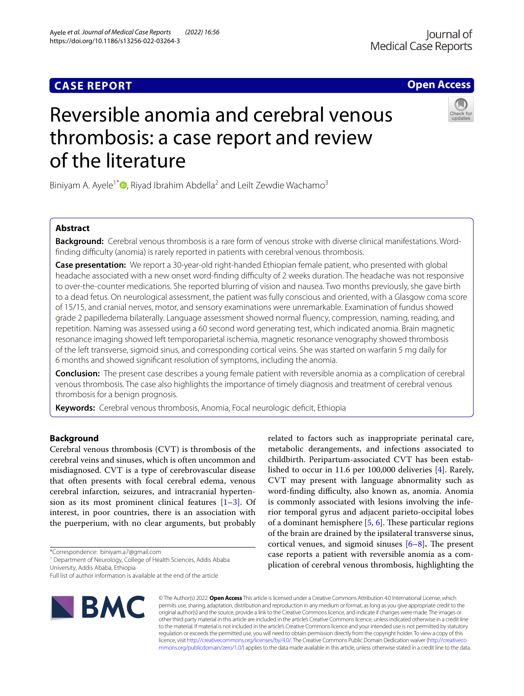Ayele *et al. Journal of Medical Case Reports (2022) 16:56* 

https://doi.org/10.1186/s13256-022-03264-3

**Open Access**

# Reversible anomia and cerebral venous thrombosis: a case report and review of the literature

Biniyam A. Ayele<sup>1[\\*](http://orcid.org/0000-0002-7955-6030)</sup> $\Phi$ , Riyad Ibrahim Abdella<sup>2</sup> and Leilt Zewdie Wachamo<sup>3</sup>

# **Abstract**

**Background:** Cerebral venous thrombosis is a rare form of venous stroke with diverse clinical manifestations. Wordfinding difficulty (anomia) is rarely reported in patients with cerebral venous thrombosis.

**Case presentation:** We report a 30-year-old right-handed Ethiopian female patient, who presented with global headache associated with a new onset word-finding difficulty of 2 weeks duration. The headache was not responsive to over-the-counter medications. She reported blurring of vision and nausea. Two months previously, she gave birth to a dead fetus. On neurological assessment, the patient was fully conscious and oriented, with a Glasgow coma score of 15/15, and cranial nerves, motor, and sensory examinations were unremarkable. Examination of fundus showed grade 2 papilledema bilaterally. Language assessment showed normal fuency, compression, naming, reading, and repetition. Naming was assessed using a 60 second word generating test, which indicated anomia. Brain magnetic resonance imaging showed left temporoparietal ischemia, magnetic resonance venography showed thrombosis of the left transverse, sigmoid sinus, and corresponding cortical veins. She was started on warfarin 5 mg daily for 6 months and showed signifcant resolution of symptoms, including the anomia.

**Conclusion:** The present case describes a young female patient with reversible anomia as a complication of cerebral venous thrombosis. The case also highlights the importance of timely diagnosis and treatment of cerebral venous thrombosis for a benign prognosis.

**Keywords:** Cerebral venous thrombosis, Anomia, Focal neurologic defcit, Ethiopia

# **Background**

Cerebral venous thrombosis (CVT) is thrombosis of the cerebral veins and sinuses, which is often uncommon and misdiagnosed. CVT is a type of cerebrovascular disease that often presents with focal cerebral edema, venous cerebral infarction, seizures, and intracranial hypertension as its most prominent clinical features  $[1-3]$  $[1-3]$ . Of interest, in poor countries, there is an association with the puerperium, with no clear arguments, but probably

\*Correspondence: biniyam.a7@gmail.com

<sup>1</sup> Department of Neurology, College of Health Sciences, Addis Ababa University, Addis Ababa, Ethiopia

Full list of author information is available at the end of the article



© The Author(s) 2022. **Open Access** This article is licensed under a Creative Commons Attribution 4.0 International License, which permits use, sharing, adaptation, distribution and reproduction in any medium or format, as long as you give appropriate credit to the original author(s) and the source, provide a link to the Creative Commons licence, and indicate if changes were made. The images or other third party material in this article are included in the article's Creative Commons licence, unless indicated otherwise in a credit line to the material. If material is not included in the article's Creative Commons licence and your intended use is not permitted by statutory regulation or exceeds the permitted use, you will need to obtain permission directly from the copyright holder. To view a copy of this licence, visit [http://creativecommons.org/licenses/by/4.0/.](http://creativecommons.org/licenses/by/4.0/) The Creative Commons Public Domain Dedication waiver ([http://creativeco](http://creativecommons.org/publicdomain/zero/1.0/) [mmons.org/publicdomain/zero/1.0/](http://creativecommons.org/publicdomain/zero/1.0/)) applies to the data made available in this article, unless otherwise stated in a credit line to the data.

related to factors such as inappropriate perinatal care, metabolic derangements, and infections associated to childbirth. Peripartum-associated CVT has been established to occur in 11.6 per 100,000 deliveries [[4\]](#page-3-2). Rarely, CVT may present with language abnormality such as word-finding difficulty, also known as, anomia. Anomia is commonly associated with lesions involving the inferior temporal gyrus and adjacent parieto-occipital lobes of a dominant hemisphere  $[5, 6]$  $[5, 6]$  $[5, 6]$  $[5, 6]$ . These particular regions of the brain are drained by the ipsilateral transverse sinus, cortical venues, and sigmoid sinuses  $[6-8]$  $[6-8]$ . The present case reports a patient with reversible anomia as a complication of cerebral venous thrombosis, highlighting the

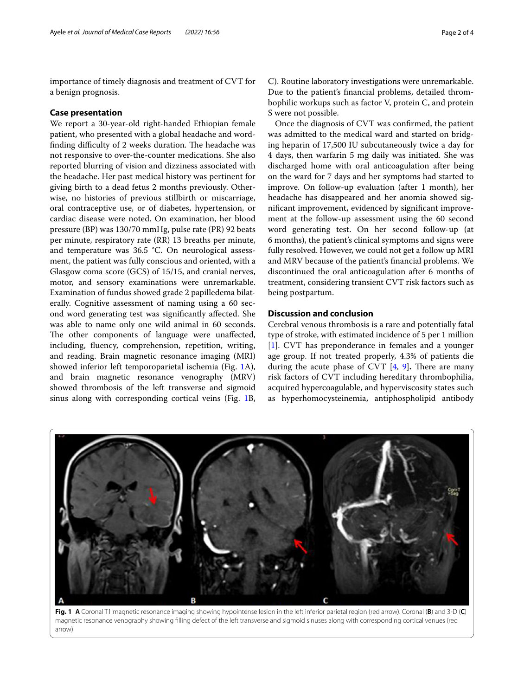importance of timely diagnosis and treatment of CVT for a benign prognosis.

## **Case presentation**

We report a 30-year-old right-handed Ethiopian female patient, who presented with a global headache and wordfinding difficulty of 2 weeks duration. The headache was not responsive to over-the-counter medications. She also reported blurring of vision and dizziness associated with the headache. Her past medical history was pertinent for giving birth to a dead fetus 2 months previously. Otherwise, no histories of previous stillbirth or miscarriage, oral contraceptive use, or of diabetes, hypertension, or cardiac disease were noted. On examination, her blood pressure (BP) was 130/70 mmHg, pulse rate (PR) 92 beats per minute, respiratory rate (RR) 13 breaths per minute, and temperature was 36.5 °C. On neurological assessment, the patient was fully conscious and oriented, with a Glasgow coma score (GCS) of 15/15, and cranial nerves, motor, and sensory examinations were unremarkable. Examination of fundus showed grade 2 papilledema bilaterally. Cognitive assessment of naming using a 60 second word generating test was signifcantly afected. She was able to name only one wild animal in 60 seconds. The other components of language were unaffected, including, fuency, comprehension, repetition, writing, and reading. Brain magnetic resonance imaging (MRI) showed inferior left temporoparietal ischemia (Fig. [1](#page-1-0)A), and brain magnetic resonance venography (MRV) showed thrombosis of the left transverse and sigmoid sinus along with corresponding cortical veins (Fig. [1](#page-1-0)B,

C). Routine laboratory investigations were unremarkable. Due to the patient's fnancial problems, detailed thrombophilic workups such as factor V, protein C, and protein S were not possible.

Once the diagnosis of CVT was confrmed, the patient was admitted to the medical ward and started on bridging heparin of 17,500 IU subcutaneously twice a day for 4 days, then warfarin 5 mg daily was initiated. She was discharged home with oral anticoagulation after being on the ward for 7 days and her symptoms had started to improve. On follow-up evaluation (after 1 month), her headache has disappeared and her anomia showed signifcant improvement, evidenced by signifcant improvement at the follow-up assessment using the 60 second word generating test. On her second follow-up (at 6 months), the patient's clinical symptoms and signs were fully resolved. However, we could not get a follow up MRI and MRV because of the patient's fnancial problems. We discontinued the oral anticoagulation after 6 months of treatment, considering transient CVT risk factors such as being postpartum.

# **Discussion and conclusion**

Cerebral venous thrombosis is a rare and potentially fatal type of stroke, with estimated incidence of 5 per 1 million [[1\]](#page-3-0). CVT has preponderance in females and a younger age group. If not treated properly, 4.3% of patients die during the acute phase of CVT  $[4, 9]$  $[4, 9]$  $[4, 9]$  $[4, 9]$ . There are many risk factors of CVT including hereditary thrombophilia, acquired hypercoagulable, and hyperviscosity states such as hyperhomocysteinemia, antiphospholipid antibody



<span id="page-1-0"></span>**Fig. 1 A** Coronal T1 magnetic resonance imaging showing hypointense lesion in the left inferior parietal region (red arrow). Coronal (**B**) and 3-D (**C**) magnetic resonance venography showing flling defect of the left transverse and sigmoid sinuses along with corresponding cortical venues (red arrow)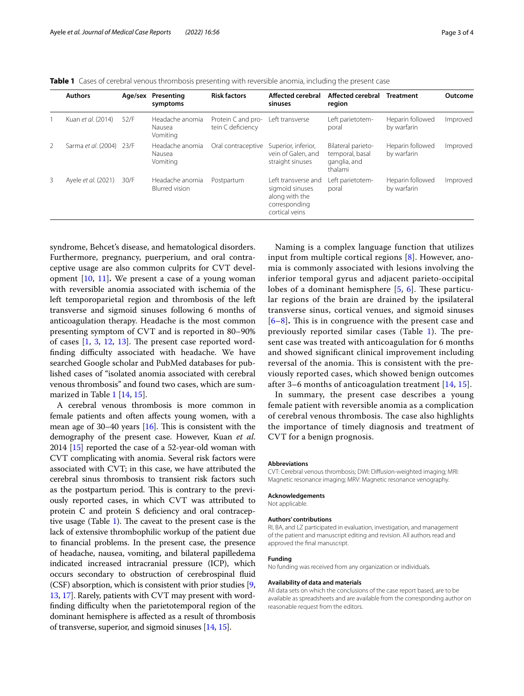<span id="page-2-0"></span>

| <b>Table 1</b> Cases of cerebral venous thrombosis presenting with reversible anomia, including the present case |  |
|------------------------------------------------------------------------------------------------------------------|--|
|------------------------------------------------------------------------------------------------------------------|--|

|   | <b>Authors</b>           |      | Age/sex Presenting<br>symptoms           | <b>Risk factors</b>                     | Affected cerebral<br>sinuses                                                                | Affected cerebral<br>region                                      | <b>Treatment</b>                | Outcome  |
|---|--------------------------|------|------------------------------------------|-----------------------------------------|---------------------------------------------------------------------------------------------|------------------------------------------------------------------|---------------------------------|----------|
|   | Kuan et al. (2014)       | 52/F | Headache anomia<br>Nausea<br>Vomiting    | Protein C and pro-<br>tein C deficiency | Left transverse                                                                             | Left parietotem-<br>poral                                        | Heparin followed<br>by warfarin | Improved |
| 2 | Sarma et al. (2004) 23/F |      | Headache anomia<br>Nausea<br>Vomiting    | Oral contraceptive                      | Superior, inferior,<br>vein of Galen, and<br>straight sinuses                               | Bilateral parieto-<br>temporal, basal<br>ganglia, and<br>thalami | Heparin followed<br>by warfarin | Improved |
| 3 | Ayele et al. (2021)      | 30/F | Headache anomia<br><b>Blurred</b> vision | Postpartum                              | Left transverse and<br>sigmoid sinuses<br>along with the<br>corresponding<br>cortical veins | Left parietotem-<br>poral                                        | Heparin followed<br>by warfarin | Improved |

syndrome, Behcet's disease, and hematological disorders. Furthermore, pregnancy, puerperium, and oral contraceptive usage are also common culprits for CVT development [\[10](#page-3-7), [11](#page-3-8)]**.** We present a case of a young woman with reversible anomia associated with ischemia of the left temporoparietal region and thrombosis of the left transverse and sigmoid sinuses following 6 months of anticoagulation therapy. Headache is the most common presenting symptom of CVT and is reported in 80–90% of cases  $[1, 3, 12, 13]$  $[1, 3, 12, 13]$  $[1, 3, 12, 13]$  $[1, 3, 12, 13]$  $[1, 3, 12, 13]$  $[1, 3, 12, 13]$  $[1, 3, 12, 13]$ . The present case reported wordfinding difficulty associated with headache. We have searched Google scholar and PubMed databases for published cases of "isolated anomia associated with cerebral venous thrombosis" and found two cases, which are summarized in Table [1](#page-2-0) [[14,](#page-3-11) [15](#page-3-12)].

A cerebral venous thrombosis is more common in female patients and often afects young women, with a mean age of  $30-40$  years [\[16\]](#page-3-13). This is consistent with the demography of the present case. However, Kuan *et al*. 2014 [\[15\]](#page-3-12) reported the case of a 52-year-old woman with CVT complicating with anomia. Several risk factors were associated with CVT; in this case, we have attributed the cerebral sinus thrombosis to transient risk factors such as the postpartum period. This is contrary to the previously reported cases, in which CVT was attributed to protein C and protein S deficiency and oral contraceptive usage (Table  $1$ ). The caveat to the present case is the lack of extensive thrombophilic workup of the patient due to fnancial problems. In the present case, the presence of headache, nausea, vomiting, and bilateral papilledema indicated increased intracranial pressure (ICP), which occurs secondary to obstruction of cerebrospinal fuid (CSF) absorption, which is consistent with prior studies [\[9](#page-3-6), [13](#page-3-10), [17\]](#page-3-14). Rarely, patients with CVT may present with wordfinding difficulty when the parietotemporal region of the dominant hemisphere is afected as a result of thrombosis of transverse, superior, and sigmoid sinuses [\[14,](#page-3-11) [15\]](#page-3-12).

Naming is a complex language function that utilizes input from multiple cortical regions [[8\]](#page-3-5). However, anomia is commonly associated with lesions involving the inferior temporal gyrus and adjacent parieto-occipital lobes of a dominant hemisphere  $[5, 6]$  $[5, 6]$  $[5, 6]$  $[5, 6]$ . These particular regions of the brain are drained by the ipsilateral transverse sinus, cortical venues, and sigmoid sinuses [[6](#page-3-4)[–8](#page-3-5)]. This is in congruence with the present case and previously reported similar cases (Table  $1$ ). The present case was treated with anticoagulation for 6 months and showed signifcant clinical improvement including reversal of the anomia. This is consistent with the previously reported cases, which showed benign outcomes after 3–6 months of anticoagulation treatment [[14,](#page-3-11) [15\]](#page-3-12).

In summary, the present case describes a young female patient with reversible anomia as a complication of cerebral venous thrombosis. The case also highlights the importance of timely diagnosis and treatment of CVT for a benign prognosis.

## **Abbreviations**

CVT: Cerebral venous thrombosis; DWI: Difusion-weighted imaging; MRI: Magnetic resonance imaging; MRV: Magnetic resonance venography.

## **Acknowledgements**

Not applicable.

## **Authors' contributions**

RI, BA, and LZ participated in evaluation, investigation, and management of the patient and manuscript editing and revision. All authors read and approved the fnal manuscript.

# **Funding**

No funding was received from any organization or individuals.

#### **Availability of data and materials**

All data sets on which the conclusions of the case report based, are to be available as spreadsheets and are available from the corresponding author on reasonable request from the editors.